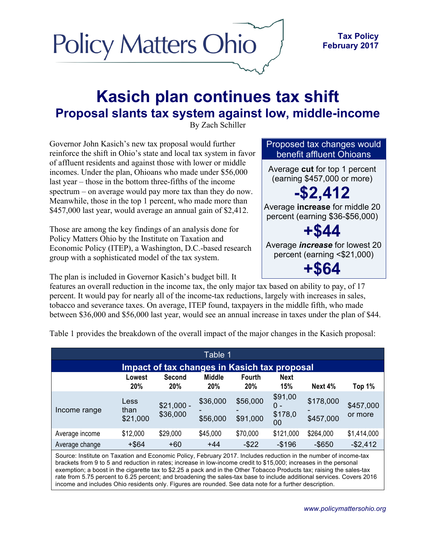

## **Kasich plan continues tax shift Proposal slants tax system against low, middle-income**

By Zach Schiller

Governor John Kasich's new tax proposal would further reinforce the shift in Ohio's state and local tax system in favor of affluent residents and against those with lower or middle incomes. Under the plan, Ohioans who made under \$56,000 last year – those in the bottom three-fifths of the income spectrum – on average would pay more tax than they do now. Meanwhile, those in the top 1 percent, who made more than \$457,000 last year, would average an annual gain of \$2,412.

Those are among the key findings of an analysis done for Policy Matters Ohio by the Institute on Taxation and Economic Policy (ITEP), a Washington, D.C.-based research group with a sophisticated model of the tax system.

The plan is included in Governor Kasich's budget bill. It

features an overall reduction in the income tax, the only major tax based on ability to pay, of 17 percent. It would pay for nearly all of the income-tax reductions, largely with increases in sales, tobacco and severance taxes. On average, ITEP found, taxpayers in the middle fifth, who made between \$36,000 and \$56,000 last year, would see an annual increase in taxes under the plan of \$44.

| Table 1                                                                                                          |                          |                         |                      |                             |                                 |                        |                      |  |  |
|------------------------------------------------------------------------------------------------------------------|--------------------------|-------------------------|----------------------|-----------------------------|---------------------------------|------------------------|----------------------|--|--|
| Impact of tax changes in Kasich tax proposal                                                                     |                          |                         |                      |                             |                                 |                        |                      |  |  |
|                                                                                                                  | Lowest<br>20%            | Second<br>20%           | <b>Middle</b><br>20% | <b>Fourth</b><br><b>20%</b> | <b>Next</b><br>15%              | Next 4%                | Top 1%               |  |  |
| Income range                                                                                                     | Less<br>than<br>\$21,000 | $$21,000 -$<br>\$36,000 | \$36,000<br>\$56,000 | \$56,000<br>\$91,000        | \$91,00<br>0 -<br>\$178,0<br>00 | \$178,000<br>\$457,000 | \$457,000<br>or more |  |  |
| Average income                                                                                                   | \$12,000                 | \$29,000                | \$45,000             | \$70,000                    | \$121,000                       | \$264,000              | \$1,414,000          |  |  |
| Average change                                                                                                   | $+$ \$64                 | $+60$                   | $+44$                | $-$ \$22                    | $-$196$                         | $-$ \$650              | $-$2,412$            |  |  |
| Source: Institute on Taxation and Economic Policy, February 2017. Includes reduction in the number of income-tax |                          |                         |                      |                             |                                 |                        |                      |  |  |

Table 1 provides the breakdown of the overall impact of the major changes in the Kasich proposal:

brackets from 9 to 5 and reduction in rates; increase in low-income credit to \$15,000; increases in the personal exemption; a boost in the cigarette tax to \$2.25 a pack and in the Other Tobacco Products tax; raising the sales-tax rate from 5.75 percent to 6.25 percent; and broadening the sales-tax base to include additional services. Covers 2016 income and includes Ohio residents only. Figures are rounded. See data note for a further description.

Proposed tax changes would benefit affluent Ohioans

Average **cut** for top 1 percent (earning \$457,000 or more)

**-\$2,412** Average **increase** for middle 20 percent (earning \$36-\$56,000)

**+\$44** Average *increase* for lowest 20 percent (earning <\$21,000)

**+\$64**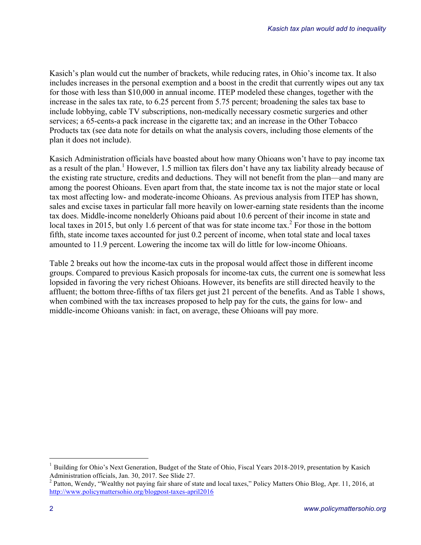Kasich's plan would cut the number of brackets, while reducing rates, in Ohio's income tax. It also includes increases in the personal exemption and a boost in the credit that currently wipes out any tax for those with less than \$10,000 in annual income. ITEP modeled these changes, together with the increase in the sales tax rate, to 6.25 percent from 5.75 percent; broadening the sales tax base to include lobbying, cable TV subscriptions, non-medically necessary cosmetic surgeries and other services; a 65-cents-a pack increase in the cigarette tax; and an increase in the Other Tobacco Products tax (see data note for details on what the analysis covers, including those elements of the plan it does not include).

Kasich Administration officials have boasted about how many Ohioans won't have to pay income tax as a result of the plan.<sup>1</sup> However, 1.5 million tax filers don't have any tax liability already because of the existing rate structure, credits and deductions. They will not benefit from the plan—and many are among the poorest Ohioans. Even apart from that, the state income tax is not the major state or local tax most affecting low- and moderate-income Ohioans. As previous analysis from ITEP has shown, sales and excise taxes in particular fall more heavily on lower-earning state residents than the income tax does. Middle-income nonelderly Ohioans paid about 10.6 percent of their income in state and local taxes in 2015, but only 1.6 percent of that was for state income tax.<sup>2</sup> For those in the bottom fifth, state income taxes accounted for just 0.2 percent of income, when total state and local taxes amounted to 11.9 percent. Lowering the income tax will do little for low-income Ohioans.

Table 2 breaks out how the income-tax cuts in the proposal would affect those in different income groups. Compared to previous Kasich proposals for income-tax cuts, the current one is somewhat less lopsided in favoring the very richest Ohioans. However, its benefits are still directed heavily to the affluent; the bottom three-fifths of tax filers get just 21 percent of the benefits. And as Table 1 shows, when combined with the tax increases proposed to help pay for the cuts, the gains for low- and middle-income Ohioans vanish: in fact, on average, these Ohioans will pay more.

<sup>&</sup>lt;sup>1</sup> Building for Ohio's Next Generation, Budget of the State of Ohio, Fiscal Years 2018-2019, presentation by Kasich Administration officials, Jan. 30, 2017. See Slide 27.<br><sup>2</sup> Patton, Wendy, "Wealthy not paying fair share of state and local taxes," Policy Matters Ohio Blog, Apr. 11, 2016, at

http://www.policymattersohio.org/blogpost-taxes-april2016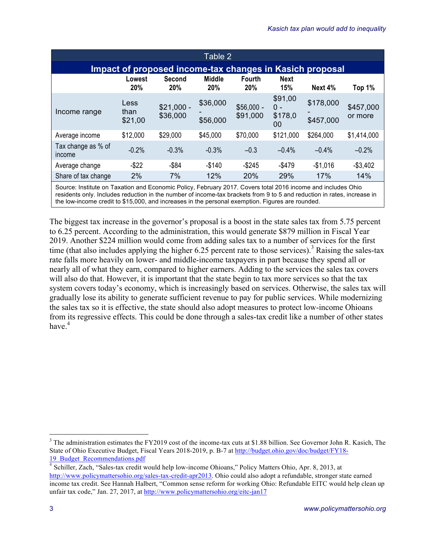| Table 2                                                  |                         |                         |                             |                             |                                   |                        |                      |  |  |
|----------------------------------------------------------|-------------------------|-------------------------|-----------------------------|-----------------------------|-----------------------------------|------------------------|----------------------|--|--|
| Impact of proposed income-tax changes in Kasich proposal |                         |                         |                             |                             |                                   |                        |                      |  |  |
|                                                          | Lowest<br>20%           | Second<br>20%           | <b>Middle</b><br><b>20%</b> | <b>Fourth</b><br><b>20%</b> | <b>Next</b><br>15%                | Next 4%                | Top 1%               |  |  |
| Income range                                             | Less<br>than<br>\$21,00 | $$21,000 -$<br>\$36,000 | \$36,000<br>\$56,000        | $$56,000 -$<br>\$91,000     | \$91,00<br>$0 -$<br>\$178,0<br>00 | \$178,000<br>\$457,000 | \$457,000<br>or more |  |  |
| Average income                                           | \$12,000                | \$29,000                | \$45,000                    | \$70,000                    | \$121,000                         | \$264,000              | \$1,414,000          |  |  |
| Tax change as % of<br>income                             | $-0.2%$                 | $-0.3%$                 | $-0.3%$                     | $-0.3$                      | $-0.4%$                           | $-0.4%$                | $-0.2%$              |  |  |
| Average change                                           | $-$ \$22                | $-$ \$84                | $-$140$                     | $-$ \$245                   | $-$479$                           | $-$1,016$              | $-$3,402$            |  |  |
| Share of tax change                                      | 2%                      | 7%                      | 12%                         | 20%                         | 29%                               | 17%                    | 14%                  |  |  |

Source: Institute on Taxation and Economic Policy, February 2017. Covers total 2016 income and includes Ohio residents only. Includes reduction in the number of income-tax brackets from 9 to 5 and reduction in rates, increase in the low-income credit to \$15,000, and increases in the personal exemption. Figures are rounded.

The biggest tax increase in the governor's proposal is a boost in the state sales tax from 5.75 percent to 6.25 percent. According to the administration, this would generate \$879 million in Fiscal Year 2019. Another \$224 million would come from adding sales tax to a number of services for the first time (that also includes applying the higher 6.25 percent rate to those services).<sup>3</sup> Raising the sales-tax rate falls more heavily on lower- and middle-income taxpayers in part because they spend all or nearly all of what they earn, compared to higher earners. Adding to the services the sales tax covers will also do that. However, it is important that the state begin to tax more services so that the tax system covers today's economy, which is increasingly based on services. Otherwise, the sales tax will gradually lose its ability to generate sufficient revenue to pay for public services. While modernizing the sales tax so it is effective, the state should also adopt measures to protect low-income Ohioans from its regressive effects. This could be done through a sales-tax credit like a number of other states have  $4$ 

 $3$  The administration estimates the FY2019 cost of the income-tax cuts at \$1.88 billion. See Governor John R. Kasich, The State of Ohio Executive Budget, Fiscal Years 2018-2019, p. B-7 at http://budget.ohio.gov/doc/budget/FY18- 19 Budget Recommendations.pdf

<sup>4</sup> Schiller, Zach, "Sales-tax credit would help low-income Ohioans," Policy Matters Ohio, Apr. 8, 2013, at http://www.policymattersohio.org/sales-tax-credit-apr2013. Ohio could also adopt a refundable, stronger state earned income tax credit. See Hannah Halbert, "Common sense reform for working Ohio: Refundable EITC would help clean up unfair tax code," Jan. 27, 2017, at http://www.policymattersohio.org/eitc-jan17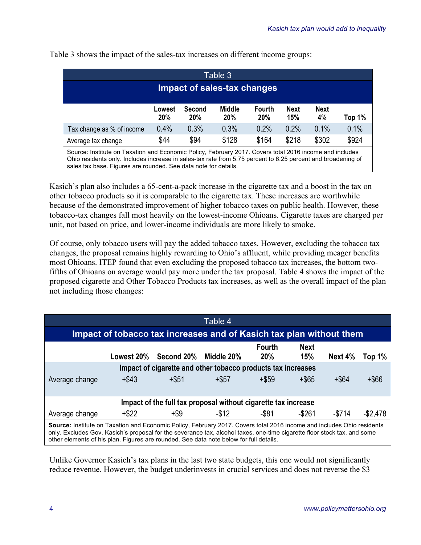| Table 3<br>Impact of sales-tax changes                                                                                                                                                                                 |               |               |                      |                      |                    |                   |        |  |  |
|------------------------------------------------------------------------------------------------------------------------------------------------------------------------------------------------------------------------|---------------|---------------|----------------------|----------------------|--------------------|-------------------|--------|--|--|
|                                                                                                                                                                                                                        |               |               |                      |                      |                    |                   |        |  |  |
|                                                                                                                                                                                                                        | Lowest<br>20% | Second<br>20% | <b>Middle</b><br>20% | <b>Fourth</b><br>20% | <b>Next</b><br>15% | <b>Next</b><br>4% | Top 1% |  |  |
| Tax change as % of income                                                                                                                                                                                              | 0.4%          | 0.3%          | 0.3%                 | 0.2%                 | 0.2%               | 0.1%              | 0.1%   |  |  |
| Average tax change                                                                                                                                                                                                     | \$44          | \$94          | \$128                | \$164                | \$218              | \$302             | \$924  |  |  |
| Source: Institute on Taxation and Economic Policy, February 2017. Covers total 2016 income and includes<br>Ohio residents only Jncludes increase in sales-tax rate from 5.75 percent to 6.25 percent and broadening of |               |               |                      |                      |                    |                   |        |  |  |

Table 3 shows the impact of the sales-tax increases on different income groups:

Ohio residents only. Includes increase in sales-tax rate from 5.75 percent to 6.25 percent and broadening of sales tax base. Figures are rounded. See data note for details.

Kasich's plan also includes a 65-cent-a-pack increase in the cigarette tax and a boost in the tax on other tobacco products so it is comparable to the cigarette tax. These increases are worthwhile because of the demonstrated improvement of higher tobacco taxes on public health. However, these tobacco-tax changes fall most heavily on the lowest-income Ohioans. Cigarette taxes are charged per unit, not based on price, and lower-income individuals are more likely to smoke.

Of course, only tobacco users will pay the added tobacco taxes. However, excluding the tobacco tax changes, the proposal remains highly rewarding to Ohio's affluent, while providing meager benefits most Ohioans. ITEP found that even excluding the proposed tobacco tax increases, the bottom twofifths of Ohioans on average would pay more under the tax proposal. Table 4 shows the impact of the proposed cigarette and Other Tobacco Products tax increases, as well as the overall impact of the plan not including those changes:

| Table 4                                                                                                                                                                                                                                                                                                                                      |          |                       |            |                             |                    |          |             |  |  |  |
|----------------------------------------------------------------------------------------------------------------------------------------------------------------------------------------------------------------------------------------------------------------------------------------------------------------------------------------------|----------|-----------------------|------------|-----------------------------|--------------------|----------|-------------|--|--|--|
| Impact of tobacco tax increases and of Kasich tax plan without them                                                                                                                                                                                                                                                                          |          |                       |            |                             |                    |          |             |  |  |  |
|                                                                                                                                                                                                                                                                                                                                              |          | Lowest 20% Second 20% | Middle 20% | <b>Fourth</b><br><b>20%</b> | <b>Next</b><br>15% | Next 4%  | Top 1%      |  |  |  |
| Impact of cigarette and other tobacco products tax increases                                                                                                                                                                                                                                                                                 |          |                       |            |                             |                    |          |             |  |  |  |
| Average change                                                                                                                                                                                                                                                                                                                               | $+$ \$43 | $+$ \$51              | $+$ \$57   | $+$ \$59                    | $+$ \$65           | $+$ \$64 | +\$66       |  |  |  |
| Impact of the full tax proposal without cigarette tax increase                                                                                                                                                                                                                                                                               |          |                       |            |                             |                    |          |             |  |  |  |
| Average change                                                                                                                                                                                                                                                                                                                               | $+$ \$22 | +\$9                  | $-$ \$12   | -\$81                       | $-$ \$261          | $-5714$  | $-$ \$2,478 |  |  |  |
| Source: Institute on Taxation and Economic Policy, February 2017. Covers total 2016 income and includes Ohio residents<br>only. Excludes Gov. Kasich's proposal for the severance tax, alcohol taxes, one-time cigarette floor stock tax, and some<br>other elements of his plan. Figures are rounded. See data note below for full details. |          |                       |            |                             |                    |          |             |  |  |  |

Unlike Governor Kasich's tax plans in the last two state budgets, this one would not significantly reduce revenue. However, the budget underinvests in crucial services and does not reverse the \$3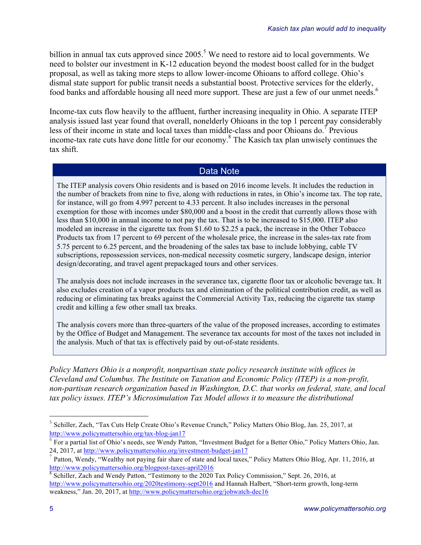billion in annual tax cuts approved since 2005.<sup>5</sup> We need to restore aid to local governments. We need to bolster our investment in K-12 education beyond the modest boost called for in the budget proposal, as well as taking more steps to allow lower-income Ohioans to afford college. Ohio's dismal state support for public transit needs a substantial boost. Protective services for the elderly, food banks and affordable housing all need more support. These are just a few of our unmet needs.<sup>6</sup>

Income-tax cuts flow heavily to the affluent, further increasing inequality in Ohio. A separate ITEP analysis issued last year found that overall, nonelderly Ohioans in the top 1 percent pay considerably less of their income in state and local taxes than middle-class and poor Ohioans do.<sup>7</sup> Previous income-tax rate cuts have done little for our economy.<sup>8</sup> The Kasich tax plan unwisely continues the tax shift.

## Data Note

The ITEP analysis covers Ohio residents and is based on 2016 income levels. It includes the reduction in the number of brackets from nine to five, along with reductions in rates, in Ohio's income tax. The top rate, for instance, will go from 4.997 percent to 4.33 percent. It also includes increases in the personal exemption for those with incomes under \$80,000 and a boost in the credit that currently allows those with less than \$10,000 in annual income to not pay the tax. That is to be increased to \$15,000. ITEP also modeled an increase in the cigarette tax from \$1.60 to \$2.25 a pack, the increase in the Other Tobacco Products tax from 17 percent to 69 percent of the wholesale price, the increase in the sales-tax rate from 5.75 percent to 6.25 percent, and the broadening of the sales tax base to include lobbying, cable TV subscriptions, repossession services, non-medical necessity cosmetic surgery, landscape design, interior design/decorating, and travel agent prepackaged tours and other services.

The analysis does not include increases in the severance tax, cigarette floor tax or alcoholic beverage tax. It also excludes creation of a vapor products tax and elimination of the political contribution credit, as well as reducing or eliminating tax breaks against the Commercial Activity Tax, reducing the cigarette tax stamp credit and killing a few other small tax breaks.

The analysis covers more than three-quarters of the value of the proposed increases, according to estimates by the Office of Budget and Management. The severance tax accounts for most of the taxes not included in the analysis. Much of that tax is effectively paid by out-of-state residents.

*Policy Matters Ohio is a nonprofit, nonpartisan state policy research institute with offices in Cleveland and Columbus. The Institute on Taxation and Economic Policy (ITEP) is a non-profit, non-partisan research organization based in Washington, D.C. that works on federal, state, and local tax policy issues. ITEP's Microsimulation Tax Model allows it to measure the distributional* 

<sup>&</sup>lt;sup>5</sup> Schiller, Zach, "Tax Cuts Help Create Ohio's Revenue Crunch," Policy Matters Ohio Blog, Jan. 25, 2017, at http://www.policymattersohio.org/tax-blog-jan17

 $6$  For a partial list of Ohio's needs, see Wendy Patton, "Investment Budget for a Better Ohio," Policy Matters Ohio, Jan. 24, 2017, at http://www.policymattersohio.org/investment-budget-jan17

<sup>&</sup>lt;sup>7</sup> Patton, Wendy, "Wealthy not paying fair share of state and local taxes," Policy Matters Ohio Blog, Apr. 11, 2016, at

http://www.policymattersohio.org/blogpost-taxes-april2016<br><sup>8</sup> Schiller, Zach and Wendy Patton, "Testimony to the 2020 Tax Policy Commission," Sept. 26, 2016, at http://www.policymattersohio.org/2020testimony-sept2016 and Hannah Halbert, "Short-term growth, long-term weakness," Jan. 20, 2017, at http://www.policymattersohio.org/jobwatch-dec16